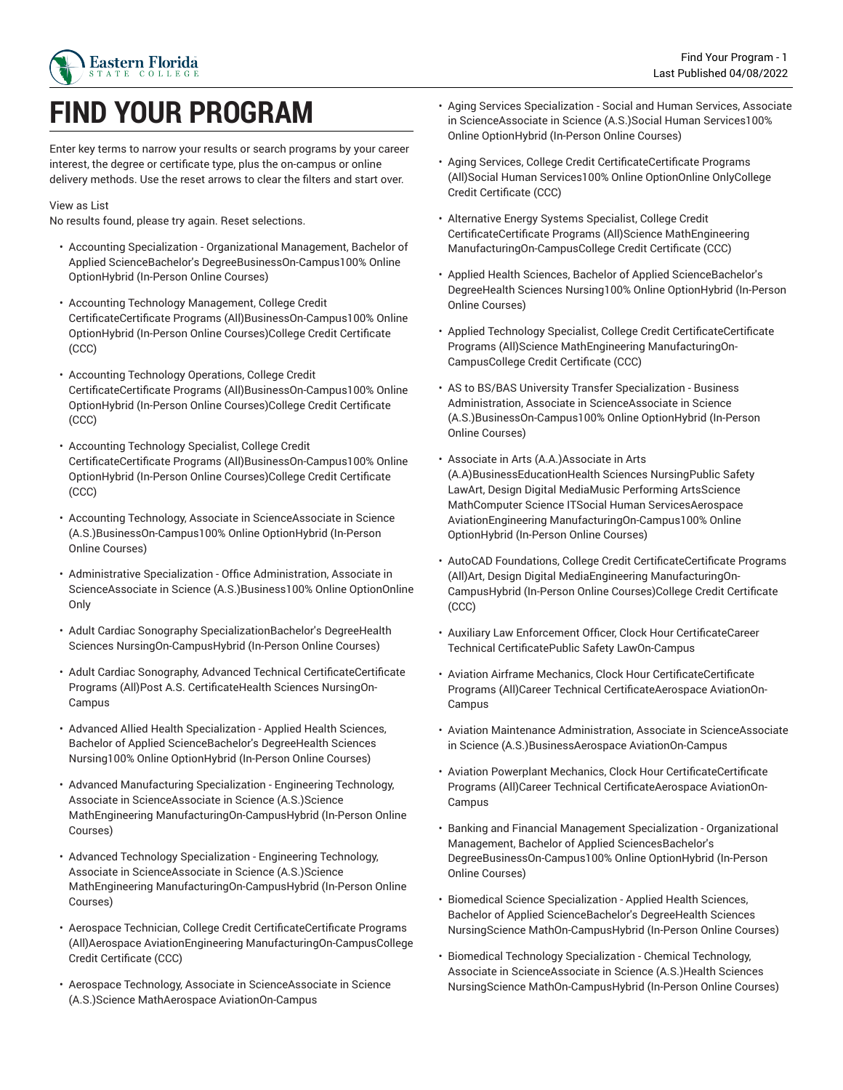

# **FIND YOUR PROGRAM**

Enter key terms to narrow your results or search programs by your career interest, the degree or certificate type, plus the on-campus or online delivery methods. Use the reset arrows to clear the filters and start over.

#### View as List

No results found, please try again. Reset selections.

- Accounting Specialization Organizational Management, Bachelor of Applied ScienceBachelor's DegreeBusinessOn-Campus100% Online OptionHybrid (In-Person Online Courses)
- Accounting Technology Management, College Credit CertificateCertificate Programs (All)BusinessOn-Campus100% Online OptionHybrid (In-Person Online Courses)College Credit Certificate (CCC)
- Accounting Technology Operations, College Credit CertificateCertificate Programs (All)BusinessOn-Campus100% Online OptionHybrid (In-Person Online Courses)College Credit Certificate (CCC)
- Accounting Technology Specialist, College Credit CertificateCertificate Programs (All)BusinessOn-Campus100% Online OptionHybrid (In-Person Online Courses)College Credit Certificate (CCC)
- Accounting Technology, Associate in ScienceAssociate in Science (A.S.)BusinessOn-Campus100% Online OptionHybrid (In-Person Online Courses)
- Administrative Specialization Office Administration, Associate in ScienceAssociate in Science (A.S.)Business100% Online OptionOnline Only
- Adult Cardiac Sonography SpecializationBachelor's DegreeHealth Sciences NursingOn-CampusHybrid (In-Person Online Courses)
- Adult Cardiac Sonography, Advanced Technical CertificateCertificate Programs (All)Post A.S. CertificateHealth Sciences NursingOn-Campus
- Advanced Allied Health Specialization Applied Health Sciences, Bachelor of Applied ScienceBachelor's DegreeHealth Sciences Nursing100% Online OptionHybrid (In-Person Online Courses)
- Advanced Manufacturing Specialization Engineering Technology, Associate in ScienceAssociate in Science (A.S.)Science MathEngineering ManufacturingOn-CampusHybrid (In-Person Online Courses)
- Advanced Technology Specialization Engineering Technology, Associate in ScienceAssociate in Science (A.S.)Science MathEngineering ManufacturingOn-CampusHybrid (In-Person Online Courses)
- Aerospace Technician, College Credit CertificateCertificate Programs (All)Aerospace AviationEngineering ManufacturingOn-CampusCollege Credit Certificate (CCC)
- Aerospace Technology, Associate in ScienceAssociate in Science (A.S.)Science MathAerospace AviationOn-Campus
- Aging Services Specialization Social and Human Services, Associate in ScienceAssociate in Science (A.S.)Social Human Services100% Online OptionHybrid (In-Person Online Courses)
- Aging Services, College Credit CertificateCertificate Programs (All)Social Human Services100% Online OptionOnline OnlyCollege Credit Certificate (CCC)
- Alternative Energy Systems Specialist, College Credit CertificateCertificate Programs (All)Science MathEngineering ManufacturingOn-CampusCollege Credit Certificate (CCC)
- Applied Health Sciences, Bachelor of Applied ScienceBachelor's DegreeHealth Sciences Nursing100% Online OptionHybrid (In-Person Online Courses)
- Applied Technology Specialist, College Credit CertificateCertificate Programs (All)Science MathEngineering ManufacturingOn-CampusCollege Credit Certificate (CCC)
- AS to BS/BAS University Transfer Specialization Business Administration, Associate in ScienceAssociate in Science (A.S.)BusinessOn-Campus100% Online OptionHybrid (In-Person Online Courses)
- Associate in Arts (A.A.)Associate in Arts (A.A)BusinessEducationHealth Sciences NursingPublic Safety LawArt, Design Digital MediaMusic Performing ArtsScience MathComputer Science ITSocial Human ServicesAerospace AviationEngineering ManufacturingOn-Campus100% Online OptionHybrid (In-Person Online Courses)
- AutoCAD Foundations, College Credit CertificateCertificate Programs (All)Art, Design Digital MediaEngineering ManufacturingOn-CampusHybrid (In-Person Online Courses)College Credit Certificate (CCC)
- Auxiliary Law Enforcement Officer, Clock Hour CertificateCareer Technical CertificatePublic Safety LawOn-Campus
- Aviation Airframe Mechanics, Clock Hour CertificateCertificate Programs (All)Career Technical CertificateAerospace AviationOn-Campus
- Aviation Maintenance Administration, Associate in ScienceAssociate in Science (A.S.)BusinessAerospace AviationOn-Campus
- Aviation Powerplant Mechanics, Clock Hour CertificateCertificate Programs (All)Career Technical CertificateAerospace AviationOn-Campus
- Banking and Financial Management Specialization Organizational Management, Bachelor of Applied SciencesBachelor's DegreeBusinessOn-Campus100% Online OptionHybrid (In-Person Online Courses)
- Biomedical Science Specialization Applied Health Sciences, Bachelor of Applied ScienceBachelor's DegreeHealth Sciences NursingScience MathOn-CampusHybrid (In-Person Online Courses)
- Biomedical Technology Specialization Chemical Technology, Associate in ScienceAssociate in Science (A.S.)Health Sciences NursingScience MathOn-CampusHybrid (In-Person Online Courses)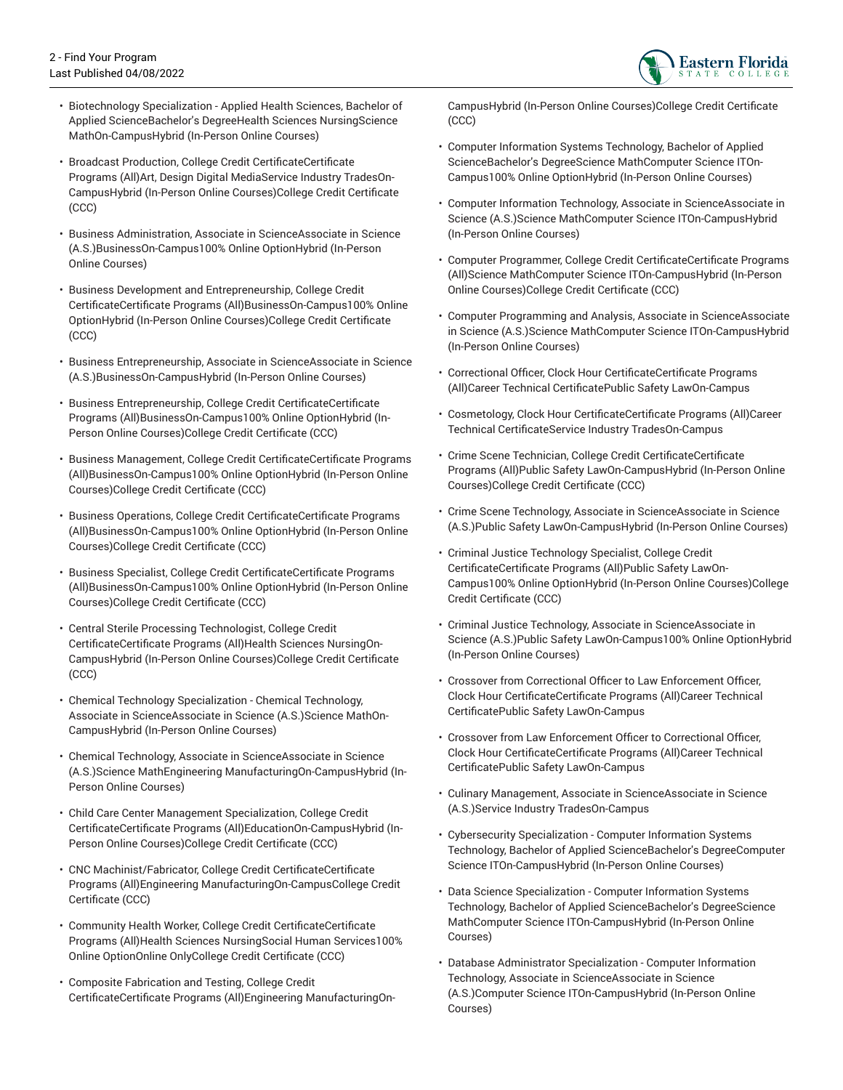

- Biotechnology Specialization Applied Health Sciences, Bachelor of Applied ScienceBachelor's DegreeHealth Sciences NursingScience MathOn-CampusHybrid (In-Person Online Courses)
- Broadcast Production, College Credit CertificateCertificate Programs (All)Art, Design Digital MediaService Industry TradesOn-CampusHybrid (In-Person Online Courses)College Credit Certificate (CCC)
- Business Administration, Associate in ScienceAssociate in Science (A.S.)BusinessOn-Campus100% Online OptionHybrid (In-Person Online Courses)
- Business Development and Entrepreneurship, College Credit CertificateCertificate Programs (All)BusinessOn-Campus100% Online OptionHybrid (In-Person Online Courses)College Credit Certificate (CCC)
- Business Entrepreneurship, Associate in ScienceAssociate in Science (A.S.)BusinessOn-CampusHybrid (In-Person Online Courses)
- Business Entrepreneurship, College Credit CertificateCertificate Programs (All)BusinessOn-Campus100% Online OptionHybrid (In-Person Online Courses)College Credit Certificate (CCC)
- Business Management, College Credit CertificateCertificate Programs (All)BusinessOn-Campus100% Online OptionHybrid (In-Person Online Courses)College Credit Certificate (CCC)
- Business Operations, College Credit CertificateCertificate Programs (All)BusinessOn-Campus100% Online OptionHybrid (In-Person Online Courses)College Credit Certificate (CCC)
- Business Specialist, College Credit CertificateCertificate Programs (All)BusinessOn-Campus100% Online OptionHybrid (In-Person Online Courses)College Credit Certificate (CCC)
- Central Sterile Processing Technologist, College Credit CertificateCertificate Programs (All)Health Sciences NursingOn-CampusHybrid (In-Person Online Courses)College Credit Certificate (CCC)
- Chemical Technology Specialization Chemical Technology, Associate in ScienceAssociate in Science (A.S.)Science MathOn-CampusHybrid (In-Person Online Courses)
- Chemical Technology, Associate in ScienceAssociate in Science (A.S.)Science MathEngineering ManufacturingOn-CampusHybrid (In-Person Online Courses)
- Child Care Center Management Specialization, College Credit CertificateCertificate Programs (All)EducationOn-CampusHybrid (In-Person Online Courses)College Credit Certificate (CCC)
- CNC Machinist/Fabricator, College Credit CertificateCertificate Programs (All)Engineering ManufacturingOn-CampusCollege Credit Certificate (CCC)
- Community Health Worker, College Credit CertificateCertificate Programs (All)Health Sciences NursingSocial Human Services100% Online OptionOnline OnlyCollege Credit Certificate (CCC)
- Composite Fabrication and Testing, College Credit CertificateCertificate Programs (All)Engineering ManufacturingOn-

CampusHybrid (In-Person Online Courses)College Credit Certificate (CCC)

- Computer Information Systems Technology, Bachelor of Applied ScienceBachelor's DegreeScience MathComputer Science ITOn-Campus100% Online OptionHybrid (In-Person Online Courses)
- Computer Information Technology, Associate in ScienceAssociate in Science (A.S.)Science MathComputer Science ITOn-CampusHybrid (In-Person Online Courses)
- Computer Programmer, College Credit CertificateCertificate Programs (All)Science MathComputer Science ITOn-CampusHybrid (In-Person Online Courses)College Credit Certificate (CCC)
- Computer Programming and Analysis, Associate in ScienceAssociate in Science (A.S.)Science MathComputer Science ITOn-CampusHybrid (In-Person Online Courses)
- Correctional Officer, Clock Hour CertificateCertificate Programs (All)Career Technical CertificatePublic Safety LawOn-Campus
- Cosmetology, Clock Hour CertificateCertificate Programs (All)Career Technical CertificateService Industry TradesOn-Campus
- Crime Scene Technician, College Credit CertificateCertificate Programs (All)Public Safety LawOn-CampusHybrid (In-Person Online Courses)College Credit Certificate (CCC)
- Crime Scene Technology, Associate in ScienceAssociate in Science (A.S.)Public Safety LawOn-CampusHybrid (In-Person Online Courses)
- Criminal Justice Technology Specialist, College Credit CertificateCertificate Programs (All)Public Safety LawOn-Campus100% Online OptionHybrid (In-Person Online Courses)College Credit Certificate (CCC)
- Criminal Justice Technology, Associate in ScienceAssociate in Science (A.S.)Public Safety LawOn-Campus100% Online OptionHybrid (In-Person Online Courses)
- Crossover from Correctional Officer to Law Enforcement Officer, Clock Hour CertificateCertificate Programs (All)Career Technical CertificatePublic Safety LawOn-Campus
- Crossover from Law Enforcement Officer to Correctional Officer, Clock Hour CertificateCertificate Programs (All)Career Technical CertificatePublic Safety LawOn-Campus
- Culinary Management, Associate in ScienceAssociate in Science (A.S.)Service Industry TradesOn-Campus
- Cybersecurity Specialization Computer Information Systems Technology, Bachelor of Applied ScienceBachelor's DegreeComputer Science ITOn-CampusHybrid (In-Person Online Courses)
- Data Science Specialization Computer Information Systems Technology, Bachelor of Applied ScienceBachelor's DegreeScience MathComputer Science ITOn-CampusHybrid (In-Person Online Courses)
- Database Administrator Specialization Computer Information Technology, Associate in ScienceAssociate in Science (A.S.)Computer Science ITOn-CampusHybrid (In-Person Online Courses)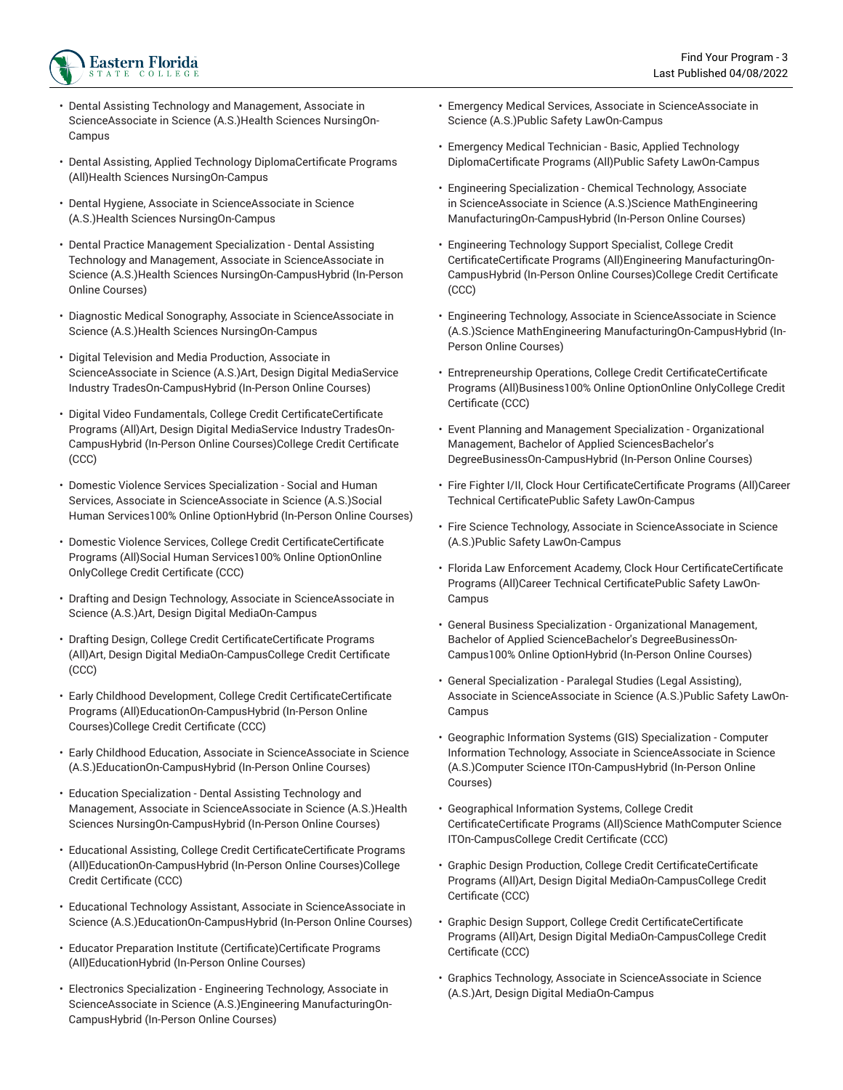

- Dental Assisting Technology and Management, Associate in ScienceAssociate in Science (A.S.)Health Sciences NursingOn-Campus
- Dental Assisting, Applied Technology DiplomaCertificate Programs (All)Health Sciences NursingOn-Campus
- Dental Hygiene, Associate in ScienceAssociate in Science (A.S.)Health Sciences NursingOn-Campus
- Dental Practice Management Specialization Dental Assisting Technology and Management, Associate in ScienceAssociate in Science (A.S.)Health Sciences NursingOn-CampusHybrid (In-Person Online Courses)
- Diagnostic Medical Sonography, Associate in ScienceAssociate in Science (A.S.)Health Sciences NursingOn-Campus
- Digital Television and Media Production, Associate in ScienceAssociate in Science (A.S.)Art, Design Digital MediaService Industry TradesOn-CampusHybrid (In-Person Online Courses)
- Digital Video Fundamentals, College Credit CertificateCertificate Programs (All)Art, Design Digital MediaService Industry TradesOn-CampusHybrid (In-Person Online Courses)College Credit Certificate (CCC)
- Domestic Violence Services Specialization Social and Human Services, Associate in ScienceAssociate in Science (A.S.)Social Human Services100% Online OptionHybrid (In-Person Online Courses)
- Domestic Violence Services, College Credit CertificateCertificate Programs (All)Social Human Services100% Online OptionOnline OnlyCollege Credit Certificate (CCC)
- Drafting and Design Technology, Associate in ScienceAssociate in Science (A.S.)Art, Design Digital MediaOn-Campus
- Drafting Design, College Credit CertificateCertificate Programs (All)Art, Design Digital MediaOn-CampusCollege Credit Certificate (CCC)
- Early Childhood Development, College Credit CertificateCertificate Programs (All)EducationOn-CampusHybrid (In-Person Online Courses)College Credit Certificate (CCC)
- Early Childhood Education, Associate in ScienceAssociate in Science (A.S.)EducationOn-CampusHybrid (In-Person Online Courses)
- Education Specialization Dental Assisting Technology and Management, Associate in ScienceAssociate in Science (A.S.)Health Sciences NursingOn-CampusHybrid (In-Person Online Courses)
- Educational Assisting, College Credit CertificateCertificate Programs (All)EducationOn-CampusHybrid (In-Person Online Courses)College Credit Certificate (CCC)
- Educational Technology Assistant, Associate in ScienceAssociate in Science (A.S.)EducationOn-CampusHybrid (In-Person Online Courses)
- Educator Preparation Institute (Certificate)Certificate Programs (All)EducationHybrid (In-Person Online Courses)
- Electronics Specialization Engineering Technology, Associate in ScienceAssociate in Science (A.S.)Engineering ManufacturingOn-CampusHybrid (In-Person Online Courses)
- Emergency Medical Services, Associate in ScienceAssociate in Science (A.S.)Public Safety LawOn-Campus
- Emergency Medical Technician Basic, Applied Technology DiplomaCertificate Programs (All)Public Safety LawOn-Campus
- Engineering Specialization Chemical Technology, Associate in ScienceAssociate in Science (A.S.)Science MathEngineering ManufacturingOn-CampusHybrid (In-Person Online Courses)
- Engineering Technology Support Specialist, College Credit CertificateCertificate Programs (All)Engineering ManufacturingOn-CampusHybrid (In-Person Online Courses)College Credit Certificate (CCC)
- Engineering Technology, Associate in ScienceAssociate in Science (A.S.)Science MathEngineering ManufacturingOn-CampusHybrid (In-Person Online Courses)
- Entrepreneurship Operations, College Credit CertificateCertificate Programs (All)Business100% Online OptionOnline OnlyCollege Credit Certificate (CCC)
- Event Planning and Management Specialization Organizational Management, Bachelor of Applied SciencesBachelor's DegreeBusinessOn-CampusHybrid (In-Person Online Courses)
- Fire Fighter I/II, Clock Hour CertificateCertificate Programs (All)Career Technical CertificatePublic Safety LawOn-Campus
- Fire Science Technology, Associate in ScienceAssociate in Science (A.S.)Public Safety LawOn-Campus
- Florida Law Enforcement Academy, Clock Hour CertificateCertificate Programs (All)Career Technical CertificatePublic Safety LawOn-Campus
- General Business Specialization Organizational Management, Bachelor of Applied ScienceBachelor's DegreeBusinessOn-Campus100% Online OptionHybrid (In-Person Online Courses)
- General Specialization Paralegal Studies (Legal Assisting), Associate in ScienceAssociate in Science (A.S.)Public Safety LawOn-Campus
- Geographic Information Systems (GIS) Specialization Computer Information Technology, Associate in ScienceAssociate in Science (A.S.)Computer Science ITOn-CampusHybrid (In-Person Online Courses)
- Geographical Information Systems, College Credit CertificateCertificate Programs (All)Science MathComputer Science ITOn-CampusCollege Credit Certificate (CCC)
- Graphic Design Production, College Credit CertificateCertificate Programs (All)Art, Design Digital MediaOn-CampusCollege Credit Certificate (CCC)
- Graphic Design Support, College Credit CertificateCertificate Programs (All)Art, Design Digital MediaOn-CampusCollege Credit Certificate (CCC)
- Graphics Technology, Associate in ScienceAssociate in Science (A.S.)Art, Design Digital MediaOn-Campus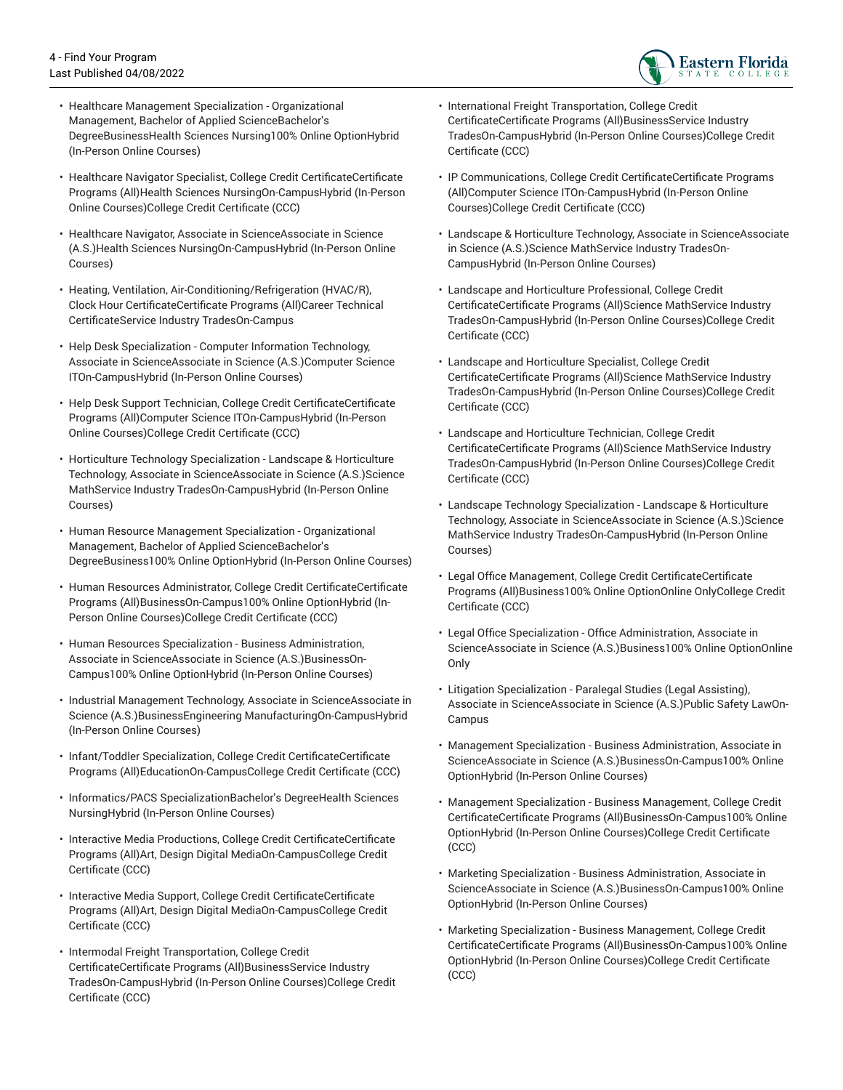

- Healthcare Management Specialization Organizational Management, Bachelor of Applied ScienceBachelor's DegreeBusinessHealth Sciences Nursing100% Online OptionHybrid (In-Person Online Courses)
- Healthcare Navigator Specialist, College Credit CertificateCertificate Programs (All)Health Sciences NursingOn-CampusHybrid (In-Person Online Courses)College Credit Certificate (CCC)
- Healthcare Navigator, Associate in ScienceAssociate in Science (A.S.)Health Sciences NursingOn-CampusHybrid (In-Person Online Courses)
- Heating, Ventilation, Air-Conditioning/Refrigeration (HVAC/R), Clock Hour CertificateCertificate Programs (All)Career Technical CertificateService Industry TradesOn-Campus
- Help Desk Specialization Computer Information Technology, Associate in ScienceAssociate in Science (A.S.)Computer Science ITOn-CampusHybrid (In-Person Online Courses)
- Help Desk Support Technician, College Credit CertificateCertificate Programs (All)Computer Science ITOn-CampusHybrid (In-Person Online Courses)College Credit Certificate (CCC)
- Horticulture Technology Specialization Landscape & Horticulture Technology, Associate in ScienceAssociate in Science (A.S.)Science MathService Industry TradesOn-CampusHybrid (In-Person Online Courses)
- Human Resource Management Specialization Organizational Management, Bachelor of Applied ScienceBachelor's DegreeBusiness100% Online OptionHybrid (In-Person Online Courses)
- Human Resources Administrator, College Credit CertificateCertificate Programs (All)BusinessOn-Campus100% Online OptionHybrid (In-Person Online Courses)College Credit Certificate (CCC)
- Human Resources Specialization Business Administration, Associate in ScienceAssociate in Science (A.S.)BusinessOn-Campus100% Online OptionHybrid (In-Person Online Courses)
- Industrial Management Technology, Associate in ScienceAssociate in Science (A.S.)BusinessEngineering ManufacturingOn-CampusHybrid (In-Person Online Courses)
- Infant/Toddler Specialization, College Credit CertificateCertificate Programs (All)EducationOn-CampusCollege Credit Certificate (CCC)
- Informatics/PACS SpecializationBachelor's DegreeHealth Sciences NursingHybrid (In-Person Online Courses)
- Interactive Media Productions, College Credit CertificateCertificate Programs (All)Art, Design Digital MediaOn-CampusCollege Credit Certificate (CCC)
- Interactive Media Support, College Credit CertificateCertificate Programs (All)Art, Design Digital MediaOn-CampusCollege Credit Certificate (CCC)
- Intermodal Freight Transportation, College Credit CertificateCertificate Programs (All)BusinessService Industry TradesOn-CampusHybrid (In-Person Online Courses)College Credit Certificate (CCC)
- International Freight Transportation, College Credit CertificateCertificate Programs (All)BusinessService Industry TradesOn-CampusHybrid (In-Person Online Courses)College Credit Certificate (CCC)
- IP Communications, College Credit CertificateCertificate Programs (All)Computer Science ITOn-CampusHybrid (In-Person Online Courses)College Credit Certificate (CCC)
- Landscape & Horticulture Technology, Associate in ScienceAssociate in Science (A.S.)Science MathService Industry TradesOn-CampusHybrid (In-Person Online Courses)
- Landscape and Horticulture Professional, College Credit CertificateCertificate Programs (All)Science MathService Industry TradesOn-CampusHybrid (In-Person Online Courses)College Credit Certificate (CCC)
- Landscape and Horticulture Specialist, College Credit CertificateCertificate Programs (All)Science MathService Industry TradesOn-CampusHybrid (In-Person Online Courses)College Credit Certificate (CCC)
- Landscape and Horticulture Technician, College Credit CertificateCertificate Programs (All)Science MathService Industry TradesOn-CampusHybrid (In-Person Online Courses)College Credit Certificate (CCC)
- Landscape Technology Specialization Landscape & Horticulture Technology, Associate in ScienceAssociate in Science (A.S.)Science MathService Industry TradesOn-CampusHybrid (In-Person Online Courses)
- Legal Office Management, College Credit CertificateCertificate Programs (All)Business100% Online OptionOnline OnlyCollege Credit Certificate (CCC)
- Legal Office Specialization Office Administration, Associate in ScienceAssociate in Science (A.S.)Business100% Online OptionOnline Only
- Litigation Specialization Paralegal Studies (Legal Assisting), Associate in ScienceAssociate in Science (A.S.)Public Safety LawOn-Campus
- Management Specialization Business Administration, Associate in ScienceAssociate in Science (A.S.)BusinessOn-Campus100% Online OptionHybrid (In-Person Online Courses)
- Management Specialization Business Management, College Credit CertificateCertificate Programs (All)BusinessOn-Campus100% Online OptionHybrid (In-Person Online Courses)College Credit Certificate (CCC)
- Marketing Specialization Business Administration, Associate in ScienceAssociate in Science (A.S.)BusinessOn-Campus100% Online OptionHybrid (In-Person Online Courses)
- Marketing Specialization Business Management, College Credit CertificateCertificate Programs (All)BusinessOn-Campus100% Online OptionHybrid (In-Person Online Courses)College Credit Certificate (CCC)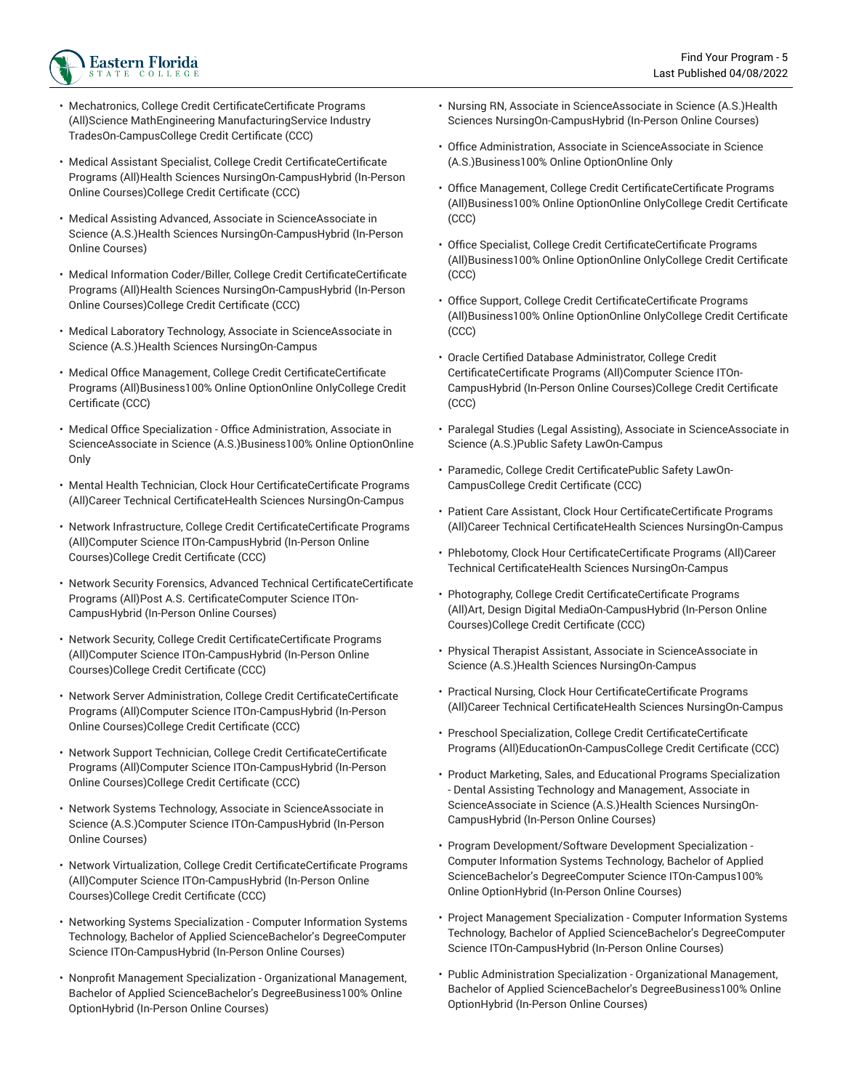

- Mechatronics, College Credit CertificateCertificate Programs (All)Science MathEngineering ManufacturingService Industry TradesOn-CampusCollege Credit Certificate (CCC)
- Medical Assistant Specialist, College Credit CertificateCertificate Programs (All)Health Sciences NursingOn-CampusHybrid (In-Person Online Courses)College Credit Certificate (CCC)
- Medical Assisting Advanced, Associate in ScienceAssociate in Science (A.S.)Health Sciences NursingOn-CampusHybrid (In-Person Online Courses)
- Medical Information Coder/Biller, College Credit CertificateCertificate Programs (All)Health Sciences NursingOn-CampusHybrid (In-Person Online Courses)College Credit Certificate (CCC)
- Medical Laboratory Technology, Associate in ScienceAssociate in Science (A.S.)Health Sciences NursingOn-Campus
- Medical Office Management, College Credit CertificateCertificate Programs (All)Business100% Online OptionOnline OnlyCollege Credit Certificate (CCC)
- Medical Office Specialization Office Administration, Associate in ScienceAssociate in Science (A.S.)Business100% Online OptionOnline Only
- Mental Health Technician, Clock Hour CertificateCertificate Programs (All)Career Technical CertificateHealth Sciences NursingOn-Campus
- Network Infrastructure, College Credit CertificateCertificate Programs (All)Computer Science ITOn-CampusHybrid (In-Person Online Courses)College Credit Certificate (CCC)
- Network Security Forensics, Advanced Technical CertificateCertificate Programs (All)Post A.S. CertificateComputer Science ITOn-CampusHybrid (In-Person Online Courses)
- Network Security, College Credit CertificateCertificate Programs (All)Computer Science ITOn-CampusHybrid (In-Person Online Courses)College Credit Certificate (CCC)
- Network Server Administration, College Credit CertificateCertificate Programs (All)Computer Science ITOn-CampusHybrid (In-Person Online Courses)College Credit Certificate (CCC)
- Network Support Technician, College Credit CertificateCertificate Programs (All)Computer Science ITOn-CampusHybrid (In-Person Online Courses)College Credit Certificate (CCC)
- Network Systems Technology, Associate in ScienceAssociate in Science (A.S.)Computer Science ITOn-CampusHybrid (In-Person Online Courses)
- Network Virtualization, College Credit CertificateCertificate Programs (All)Computer Science ITOn-CampusHybrid (In-Person Online Courses)College Credit Certificate (CCC)
- Networking Systems Specialization Computer Information Systems Technology, Bachelor of Applied ScienceBachelor's DegreeComputer Science ITOn-CampusHybrid (In-Person Online Courses)
- Nonprofit Management Specialization Organizational Management, Bachelor of Applied ScienceBachelor's DegreeBusiness100% Online OptionHybrid (In-Person Online Courses)
- Nursing RN, Associate in ScienceAssociate in Science (A.S.)Health Sciences NursingOn-CampusHybrid (In-Person Online Courses)
- Office Administration, Associate in ScienceAssociate in Science (A.S.)Business100% Online OptionOnline Only
- Office Management, College Credit CertificateCertificate Programs (All)Business100% Online OptionOnline OnlyCollege Credit Certificate (CCC)
- Office Specialist, College Credit CertificateCertificate Programs (All)Business100% Online OptionOnline OnlyCollege Credit Certificate (CCC)
- Office Support, College Credit CertificateCertificate Programs (All)Business100% Online OptionOnline OnlyCollege Credit Certificate (CCC)
- Oracle Certified Database Administrator, College Credit CertificateCertificate Programs (All)Computer Science ITOn-CampusHybrid (In-Person Online Courses)College Credit Certificate (CCC)
- Paralegal Studies (Legal Assisting), Associate in ScienceAssociate in Science (A.S.)Public Safety LawOn-Campus
- Paramedic, College Credit CertificatePublic Safety LawOn-CampusCollege Credit Certificate (CCC)
- Patient Care Assistant, Clock Hour CertificateCertificate Programs (All)Career Technical CertificateHealth Sciences NursingOn-Campus
- Phlebotomy, Clock Hour CertificateCertificate Programs (All)Career Technical CertificateHealth Sciences NursingOn-Campus
- Photography, College Credit CertificateCertificate Programs (All)Art, Design Digital MediaOn-CampusHybrid (In-Person Online Courses)College Credit Certificate (CCC)
- Physical Therapist Assistant, Associate in ScienceAssociate in Science (A.S.)Health Sciences NursingOn-Campus
- Practical Nursing, Clock Hour CertificateCertificate Programs (All)Career Technical CertificateHealth Sciences NursingOn-Campus
- Preschool Specialization, College Credit CertificateCertificate Programs (All)EducationOn-CampusCollege Credit Certificate (CCC)
- Product Marketing, Sales, and Educational Programs Specialization - Dental Assisting Technology and Management, Associate in ScienceAssociate in Science (A.S.)Health Sciences NursingOn-CampusHybrid (In-Person Online Courses)
- Program Development/Software Development Specialization Computer Information Systems Technology, Bachelor of Applied ScienceBachelor's DegreeComputer Science ITOn-Campus100% Online OptionHybrid (In-Person Online Courses)
- Project Management Specialization Computer Information Systems Technology, Bachelor of Applied ScienceBachelor's DegreeComputer Science ITOn-CampusHybrid (In-Person Online Courses)
- Public Administration Specialization Organizational Management, Bachelor of Applied ScienceBachelor's DegreeBusiness100% Online OptionHybrid (In-Person Online Courses)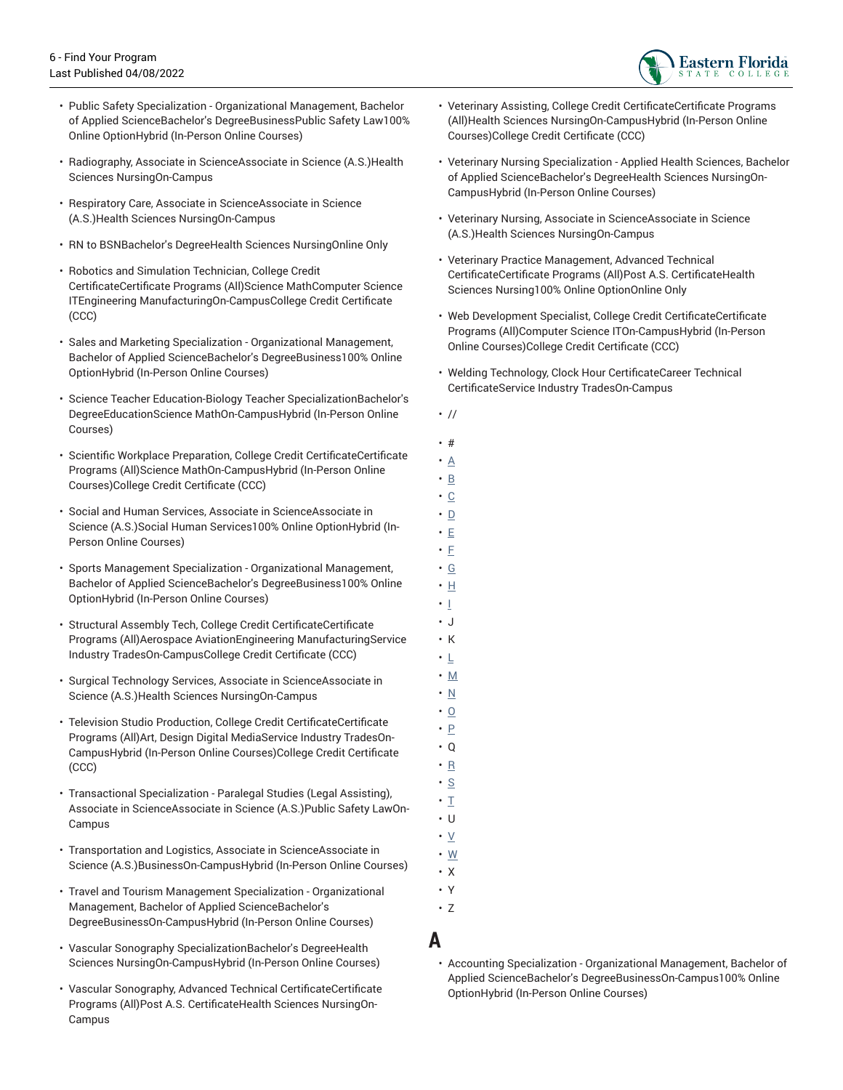

- Public Safety Specialization Organizational Management, Bachelor of Applied ScienceBachelor's DegreeBusinessPublic Safety Law100% Online OptionHybrid (In-Person Online Courses)
- Radiography, Associate in ScienceAssociate in Science (A.S.)Health Sciences NursingOn-Campus
- Respiratory Care, Associate in ScienceAssociate in Science (A.S.)Health Sciences NursingOn-Campus
- RN to BSNBachelor's DegreeHealth Sciences NursingOnline Only
- Robotics and Simulation Technician, College Credit CertificateCertificate Programs (All)Science MathComputer Science ITEngineering ManufacturingOn-CampusCollege Credit Certificate (CCC)
- Sales and Marketing Specialization Organizational Management, Bachelor of Applied ScienceBachelor's DegreeBusiness100% Online OptionHybrid (In-Person Online Courses)
- Science Teacher Education-Biology Teacher SpecializationBachelor's DegreeEducationScience MathOn-CampusHybrid (In-Person Online Courses)
- Scientific Workplace Preparation, College Credit CertificateCertificate Programs (All)Science MathOn-CampusHybrid (In-Person Online Courses)College Credit Certificate (CCC)
- Social and Human Services, Associate in ScienceAssociate in Science (A.S.)Social Human Services100% Online OptionHybrid (In-Person Online Courses)
- Sports Management Specialization Organizational Management, Bachelor of Applied ScienceBachelor's DegreeBusiness100% Online OptionHybrid (In-Person Online Courses)
- Structural Assembly Tech, College Credit CertificateCertificate Programs (All)Aerospace AviationEngineering ManufacturingService Industry TradesOn-CampusCollege Credit Certificate (CCC)
- Surgical Technology Services, Associate in ScienceAssociate in Science (A.S.)Health Sciences NursingOn-Campus
- Television Studio Production, College Credit CertificateCertificate Programs (All)Art, Design Digital MediaService Industry TradesOn-CampusHybrid (In-Person Online Courses)College Credit Certificate (CCC)
- Transactional Specialization Paralegal Studies (Legal Assisting), Associate in ScienceAssociate in Science (A.S.)Public Safety LawOn-Campus
- Transportation and Logistics, Associate in ScienceAssociate in Science (A.S.)BusinessOn-CampusHybrid (In-Person Online Courses)
- Travel and Tourism Management Specialization Organizational Management, Bachelor of Applied ScienceBachelor's DegreeBusinessOn-CampusHybrid (In-Person Online Courses)
- Vascular Sonography SpecializationBachelor's DegreeHealth Sciences NursingOn-CampusHybrid (In-Person Online Courses)
- Vascular Sonography, Advanced Technical CertificateCertificate Programs (All)Post A.S. CertificateHealth Sciences NursingOn-Campus
- Veterinary Assisting, College Credit CertificateCertificate Programs (All)Health Sciences NursingOn-CampusHybrid (In-Person Online Courses)College Credit Certificate (CCC)
- Veterinary Nursing Specialization Applied Health Sciences, Bachelor of Applied ScienceBachelor's DegreeHealth Sciences NursingOn-CampusHybrid (In-Person Online Courses)
- Veterinary Nursing, Associate in ScienceAssociate in Science (A.S.)Health Sciences NursingOn-Campus
- Veterinary Practice Management, Advanced Technical CertificateCertificate Programs (All)Post A.S. CertificateHealth Sciences Nursing100% Online OptionOnline Only
- Web Development Specialist, College Credit CertificateCertificate Programs (All)Computer Science ITOn-CampusHybrid (In-Person Online Courses)College Credit Certificate (CCC)
- Welding Technology, Clock Hour CertificateCareer Technical CertificateService Industry TradesOn-Campus
- //
- #
- [A](#page-5-0)
- [B](#page-6-0)
- [C](#page-7-0)
- $\cdot$  [D](#page-7-1) • [E](#page-8-0)
- [F](#page-8-1)
- [G](#page-8-2)
- [H](#page-9-0)
- [I](#page-9-1)
- J
- K
- [L](#page-9-2) • [M](#page-10-0)
- $\cdot$  <u>[N](#page-10-1)</u>
- [O](#page-10-2)
- [P](#page-10-3)
- Q
- $\cdot$  [R](#page-11-0)
- [S](#page-11-1)
- $\cdot$  [T](#page-11-2) • U
- [V](#page-11-3)
- [W](#page-11-4)
- X
- Y
- Z
- <span id="page-5-0"></span>**A**
	- Accounting Specialization Organizational Management, Bachelor of Applied ScienceBachelor's DegreeBusinessOn-Campus100% Online OptionHybrid (In-Person Online Courses)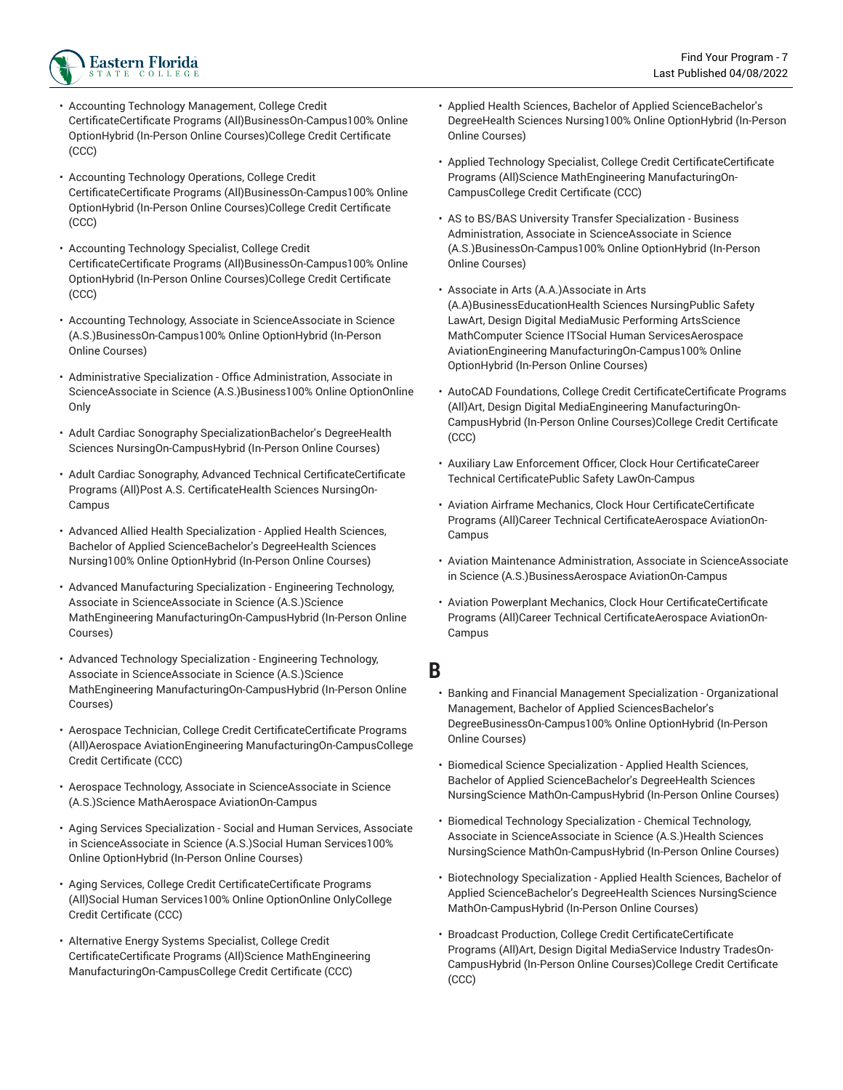

- Accounting Technology Management, College Credit CertificateCertificate Programs (All)BusinessOn-Campus100% Online OptionHybrid (In-Person Online Courses)College Credit Certificate (CCC)
- Accounting Technology Operations, College Credit CertificateCertificate Programs (All)BusinessOn-Campus100% Online OptionHybrid (In-Person Online Courses)College Credit Certificate (CCC)
- Accounting Technology Specialist, College Credit CertificateCertificate Programs (All)BusinessOn-Campus100% Online OptionHybrid (In-Person Online Courses)College Credit Certificate (CCC)
- Accounting Technology, Associate in ScienceAssociate in Science (A.S.)BusinessOn-Campus100% Online OptionHybrid (In-Person Online Courses)
- Administrative Specialization Office Administration, Associate in ScienceAssociate in Science (A.S.)Business100% Online OptionOnline Only
- Adult Cardiac Sonography SpecializationBachelor's DegreeHealth Sciences NursingOn-CampusHybrid (In-Person Online Courses)
- Adult Cardiac Sonography, Advanced Technical CertificateCertificate Programs (All)Post A.S. CertificateHealth Sciences NursingOn-Campus
- Advanced Allied Health Specialization Applied Health Sciences, Bachelor of Applied ScienceBachelor's DegreeHealth Sciences Nursing100% Online OptionHybrid (In-Person Online Courses)
- Advanced Manufacturing Specialization Engineering Technology, Associate in ScienceAssociate in Science (A.S.)Science MathEngineering ManufacturingOn-CampusHybrid (In-Person Online Courses)
- Advanced Technology Specialization Engineering Technology, Associate in ScienceAssociate in Science (A.S.)Science MathEngineering ManufacturingOn-CampusHybrid (In-Person Online Courses)
- Aerospace Technician, College Credit CertificateCertificate Programs (All)Aerospace AviationEngineering ManufacturingOn-CampusCollege Credit Certificate (CCC)
- Aerospace Technology, Associate in ScienceAssociate in Science (A.S.)Science MathAerospace AviationOn-Campus
- Aging Services Specialization Social and Human Services, Associate in ScienceAssociate in Science (A.S.)Social Human Services100% Online OptionHybrid (In-Person Online Courses)
- Aging Services, College Credit CertificateCertificate Programs (All)Social Human Services100% Online OptionOnline OnlyCollege Credit Certificate (CCC)
- Alternative Energy Systems Specialist, College Credit CertificateCertificate Programs (All)Science MathEngineering ManufacturingOn-CampusCollege Credit Certificate (CCC)
- Applied Health Sciences, Bachelor of Applied ScienceBachelor's DegreeHealth Sciences Nursing100% Online OptionHybrid (In-Person Online Courses)
- Applied Technology Specialist, College Credit CertificateCertificate Programs (All)Science MathEngineering ManufacturingOn-CampusCollege Credit Certificate (CCC)
- AS to BS/BAS University Transfer Specialization Business Administration, Associate in ScienceAssociate in Science (A.S.)BusinessOn-Campus100% Online OptionHybrid (In-Person Online Courses)
- Associate in Arts (A.A.)Associate in Arts (A.A)BusinessEducationHealth Sciences NursingPublic Safety LawArt, Design Digital MediaMusic Performing ArtsScience MathComputer Science ITSocial Human ServicesAerospace AviationEngineering ManufacturingOn-Campus100% Online OptionHybrid (In-Person Online Courses)
- AutoCAD Foundations, College Credit CertificateCertificate Programs (All)Art, Design Digital MediaEngineering ManufacturingOn-CampusHybrid (In-Person Online Courses)College Credit Certificate (CCC)
- Auxiliary Law Enforcement Officer, Clock Hour CertificateCareer Technical CertificatePublic Safety LawOn-Campus
- Aviation Airframe Mechanics, Clock Hour CertificateCertificate Programs (All)Career Technical CertificateAerospace AviationOn-Campus
- Aviation Maintenance Administration, Associate in ScienceAssociate in Science (A.S.)BusinessAerospace AviationOn-Campus
- Aviation Powerplant Mechanics, Clock Hour CertificateCertificate Programs (All)Career Technical CertificateAerospace AviationOn-Campus

## <span id="page-6-0"></span>**B**

- Banking and Financial Management Specialization Organizational Management, Bachelor of Applied SciencesBachelor's DegreeBusinessOn-Campus100% Online OptionHybrid (In-Person Online Courses)
- Biomedical Science Specialization Applied Health Sciences, Bachelor of Applied ScienceBachelor's DegreeHealth Sciences NursingScience MathOn-CampusHybrid (In-Person Online Courses)
- Biomedical Technology Specialization Chemical Technology, Associate in ScienceAssociate in Science (A.S.)Health Sciences NursingScience MathOn-CampusHybrid (In-Person Online Courses)
- Biotechnology Specialization Applied Health Sciences, Bachelor of Applied ScienceBachelor's DegreeHealth Sciences NursingScience MathOn-CampusHybrid (In-Person Online Courses)
- Broadcast Production, College Credit CertificateCertificate Programs (All)Art, Design Digital MediaService Industry TradesOn-CampusHybrid (In-Person Online Courses)College Credit Certificate (CCC)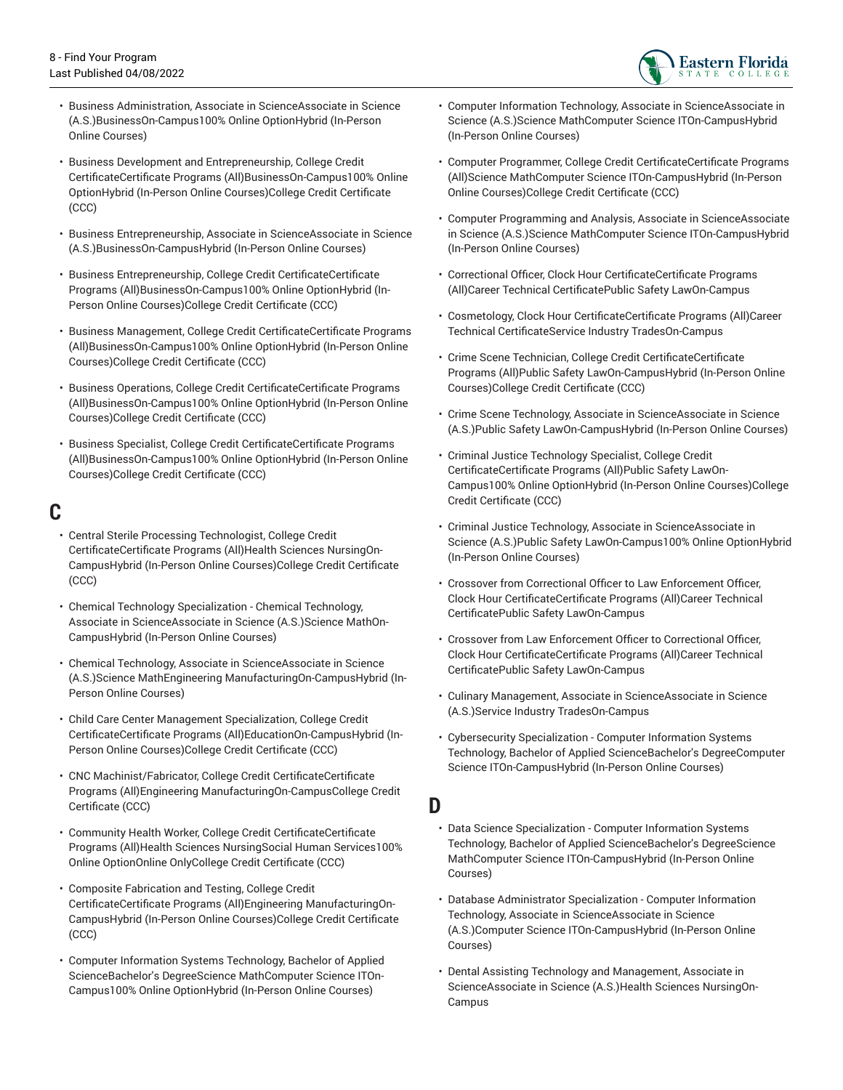

- Business Administration, Associate in ScienceAssociate in Science (A.S.)BusinessOn-Campus100% Online OptionHybrid (In-Person Online Courses)
- Business Development and Entrepreneurship, College Credit CertificateCertificate Programs (All)BusinessOn-Campus100% Online OptionHybrid (In-Person Online Courses)College Credit Certificate (CCC)
- Business Entrepreneurship, Associate in ScienceAssociate in Science (A.S.)BusinessOn-CampusHybrid (In-Person Online Courses)
- Business Entrepreneurship, College Credit CertificateCertificate Programs (All)BusinessOn-Campus100% Online OptionHybrid (In-Person Online Courses)College Credit Certificate (CCC)
- Business Management, College Credit CertificateCertificate Programs (All)BusinessOn-Campus100% Online OptionHybrid (In-Person Online Courses)College Credit Certificate (CCC)
- Business Operations, College Credit CertificateCertificate Programs (All)BusinessOn-Campus100% Online OptionHybrid (In-Person Online Courses)College Credit Certificate (CCC)
- Business Specialist, College Credit CertificateCertificate Programs (All)BusinessOn-Campus100% Online OptionHybrid (In-Person Online Courses)College Credit Certificate (CCC)

#### <span id="page-7-0"></span>**C**

- Central Sterile Processing Technologist, College Credit CertificateCertificate Programs (All)Health Sciences NursingOn-CampusHybrid (In-Person Online Courses)College Credit Certificate (CCC)
- Chemical Technology Specialization Chemical Technology, Associate in ScienceAssociate in Science (A.S.)Science MathOn-CampusHybrid (In-Person Online Courses)
- Chemical Technology, Associate in ScienceAssociate in Science (A.S.)Science MathEngineering ManufacturingOn-CampusHybrid (In-Person Online Courses)
- Child Care Center Management Specialization, College Credit CertificateCertificate Programs (All)EducationOn-CampusHybrid (In-Person Online Courses)College Credit Certificate (CCC)
- CNC Machinist/Fabricator, College Credit CertificateCertificate Programs (All)Engineering ManufacturingOn-CampusCollege Credit Certificate (CCC)
- Community Health Worker, College Credit CertificateCertificate Programs (All)Health Sciences NursingSocial Human Services100% Online OptionOnline OnlyCollege Credit Certificate (CCC)
- Composite Fabrication and Testing, College Credit CertificateCertificate Programs (All)Engineering ManufacturingOn-CampusHybrid (In-Person Online Courses)College Credit Certificate (CCC)
- Computer Information Systems Technology, Bachelor of Applied ScienceBachelor's DegreeScience MathComputer Science ITOn-Campus100% Online OptionHybrid (In-Person Online Courses)
- Computer Information Technology, Associate in ScienceAssociate in Science (A.S.)Science MathComputer Science ITOn-CampusHybrid (In-Person Online Courses)
- Computer Programmer, College Credit CertificateCertificate Programs (All)Science MathComputer Science ITOn-CampusHybrid (In-Person Online Courses)College Credit Certificate (CCC)
- Computer Programming and Analysis, Associate in ScienceAssociate in Science (A.S.)Science MathComputer Science ITOn-CampusHybrid (In-Person Online Courses)
- Correctional Officer, Clock Hour CertificateCertificate Programs (All)Career Technical CertificatePublic Safety LawOn-Campus
- Cosmetology, Clock Hour CertificateCertificate Programs (All)Career Technical CertificateService Industry TradesOn-Campus
- Crime Scene Technician, College Credit CertificateCertificate Programs (All)Public Safety LawOn-CampusHybrid (In-Person Online Courses)College Credit Certificate (CCC)
- Crime Scene Technology, Associate in ScienceAssociate in Science (A.S.)Public Safety LawOn-CampusHybrid (In-Person Online Courses)
- Criminal Justice Technology Specialist, College Credit CertificateCertificate Programs (All)Public Safety LawOn-Campus100% Online OptionHybrid (In-Person Online Courses)College Credit Certificate (CCC)
- Criminal Justice Technology, Associate in ScienceAssociate in Science (A.S.)Public Safety LawOn-Campus100% Online OptionHybrid (In-Person Online Courses)
- Crossover from Correctional Officer to Law Enforcement Officer, Clock Hour CertificateCertificate Programs (All)Career Technical CertificatePublic Safety LawOn-Campus
- Crossover from Law Enforcement Officer to Correctional Officer, Clock Hour CertificateCertificate Programs (All)Career Technical CertificatePublic Safety LawOn-Campus
- Culinary Management, Associate in ScienceAssociate in Science (A.S.)Service Industry TradesOn-Campus
- Cybersecurity Specialization Computer Information Systems Technology, Bachelor of Applied ScienceBachelor's DegreeComputer Science ITOn-CampusHybrid (In-Person Online Courses)

## <span id="page-7-1"></span>**D**

- Data Science Specialization Computer Information Systems Technology, Bachelor of Applied ScienceBachelor's DegreeScience MathComputer Science ITOn-CampusHybrid (In-Person Online Courses)
- Database Administrator Specialization Computer Information Technology, Associate in ScienceAssociate in Science (A.S.)Computer Science ITOn-CampusHybrid (In-Person Online Courses)
- Dental Assisting Technology and Management, Associate in ScienceAssociate in Science (A.S.)Health Sciences NursingOn-Campus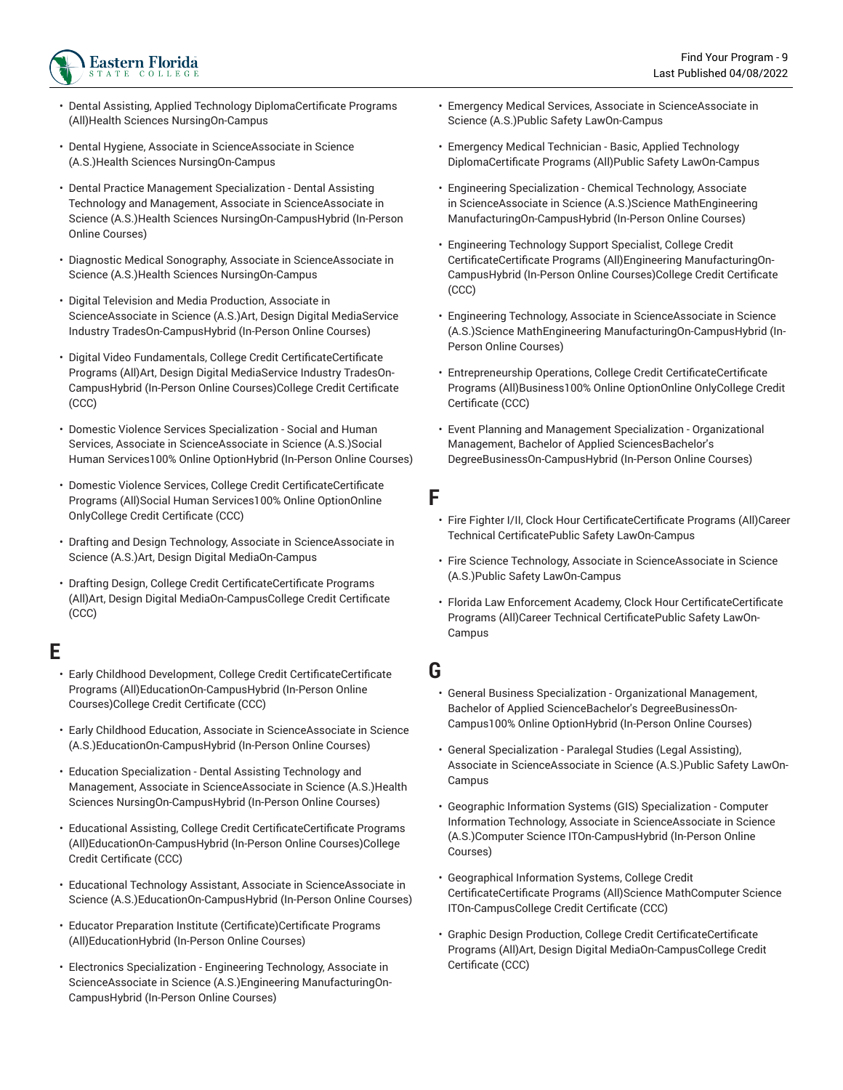- Dental Assisting, Applied Technology DiplomaCertificate Programs (All)Health Sciences NursingOn-Campus
- Dental Hygiene, Associate in ScienceAssociate in Science (A.S.)Health Sciences NursingOn-Campus
- Dental Practice Management Specialization Dental Assisting Technology and Management, Associate in ScienceAssociate in Science (A.S.)Health Sciences NursingOn-CampusHybrid (In-Person Online Courses)
- Diagnostic Medical Sonography, Associate in ScienceAssociate in Science (A.S.)Health Sciences NursingOn-Campus
- Digital Television and Media Production, Associate in ScienceAssociate in Science (A.S.)Art, Design Digital MediaService Industry TradesOn-CampusHybrid (In-Person Online Courses)
- Digital Video Fundamentals, College Credit CertificateCertificate Programs (All)Art, Design Digital MediaService Industry TradesOn-CampusHybrid (In-Person Online Courses)College Credit Certificate (CCC)
- Domestic Violence Services Specialization Social and Human Services, Associate in ScienceAssociate in Science (A.S.)Social Human Services100% Online OptionHybrid (In-Person Online Courses)
- Domestic Violence Services, College Credit CertificateCertificate Programs (All)Social Human Services100% Online OptionOnline OnlyCollege Credit Certificate (CCC)
- Drafting and Design Technology, Associate in ScienceAssociate in Science (A.S.)Art, Design Digital MediaOn-Campus
- Drafting Design, College Credit CertificateCertificate Programs (All)Art, Design Digital MediaOn-CampusCollege Credit Certificate (CCC)

# <span id="page-8-0"></span>**E**

- Early Childhood Development, College Credit CertificateCertificate Programs (All)EducationOn-CampusHybrid (In-Person Online Courses)College Credit Certificate (CCC)
- Early Childhood Education, Associate in ScienceAssociate in Science (A.S.)EducationOn-CampusHybrid (In-Person Online Courses)
- Education Specialization Dental Assisting Technology and Management, Associate in ScienceAssociate in Science (A.S.)Health Sciences NursingOn-CampusHybrid (In-Person Online Courses)
- Educational Assisting, College Credit CertificateCertificate Programs (All)EducationOn-CampusHybrid (In-Person Online Courses)College Credit Certificate (CCC)
- Educational Technology Assistant, Associate in ScienceAssociate in Science (A.S.)EducationOn-CampusHybrid (In-Person Online Courses)
- Educator Preparation Institute (Certificate)Certificate Programs (All)EducationHybrid (In-Person Online Courses)
- Electronics Specialization Engineering Technology, Associate in ScienceAssociate in Science (A.S.)Engineering ManufacturingOn-CampusHybrid (In-Person Online Courses)
- Emergency Medical Services, Associate in ScienceAssociate in Science (A.S.)Public Safety LawOn-Campus
- Emergency Medical Technician Basic, Applied Technology DiplomaCertificate Programs (All)Public Safety LawOn-Campus
- Engineering Specialization Chemical Technology, Associate in ScienceAssociate in Science (A.S.)Science MathEngineering ManufacturingOn-CampusHybrid (In-Person Online Courses)
- Engineering Technology Support Specialist, College Credit CertificateCertificate Programs (All)Engineering ManufacturingOn-CampusHybrid (In-Person Online Courses)College Credit Certificate (CCC)
- Engineering Technology, Associate in ScienceAssociate in Science (A.S.)Science MathEngineering ManufacturingOn-CampusHybrid (In-Person Online Courses)
- Entrepreneurship Operations, College Credit CertificateCertificate Programs (All)Business100% Online OptionOnline OnlyCollege Credit Certificate (CCC)
- Event Planning and Management Specialization Organizational Management, Bachelor of Applied SciencesBachelor's DegreeBusinessOn-CampusHybrid (In-Person Online Courses)
- <span id="page-8-1"></span>**F**
	- Fire Fighter I/II, Clock Hour CertificateCertificate Programs (All)Career Technical CertificatePublic Safety LawOn-Campus
	- Fire Science Technology, Associate in ScienceAssociate in Science (A.S.)Public Safety LawOn-Campus
	- Florida Law Enforcement Academy, Clock Hour CertificateCertificate Programs (All)Career Technical CertificatePublic Safety LawOn-Campus

# <span id="page-8-2"></span>**G**

- General Business Specialization Organizational Management, Bachelor of Applied ScienceBachelor's DegreeBusinessOn-Campus100% Online OptionHybrid (In-Person Online Courses)
- General Specialization Paralegal Studies (Legal Assisting), Associate in ScienceAssociate in Science (A.S.)Public Safety LawOn-Campus
- Geographic Information Systems (GIS) Specialization Computer Information Technology, Associate in ScienceAssociate in Science (A.S.)Computer Science ITOn-CampusHybrid (In-Person Online Courses)
- Geographical Information Systems, College Credit CertificateCertificate Programs (All)Science MathComputer Science ITOn-CampusCollege Credit Certificate (CCC)
- Graphic Design Production, College Credit CertificateCertificate Programs (All)Art, Design Digital MediaOn-CampusCollege Credit Certificate (CCC)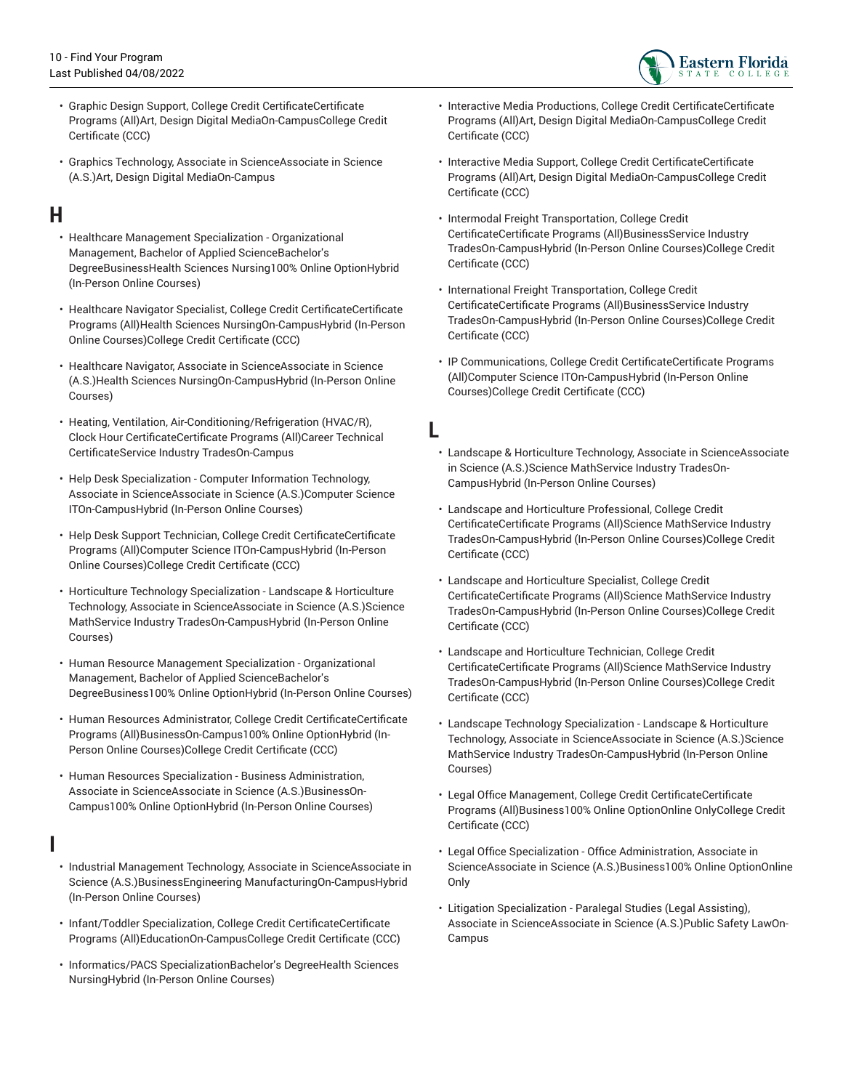

- Graphic Design Support, College Credit CertificateCertificate Programs (All)Art, Design Digital MediaOn-CampusCollege Credit Certificate (CCC)
- Graphics Technology, Associate in ScienceAssociate in Science (A.S.)Art, Design Digital MediaOn-Campus

# <span id="page-9-0"></span>**H**

- Healthcare Management Specialization Organizational Management, Bachelor of Applied ScienceBachelor's DegreeBusinessHealth Sciences Nursing100% Online OptionHybrid (In-Person Online Courses)
- Healthcare Navigator Specialist, College Credit CertificateCertificate Programs (All)Health Sciences NursingOn-CampusHybrid (In-Person Online Courses)College Credit Certificate (CCC)
- Healthcare Navigator, Associate in ScienceAssociate in Science (A.S.)Health Sciences NursingOn-CampusHybrid (In-Person Online Courses)
- Heating, Ventilation, Air-Conditioning/Refrigeration (HVAC/R), Clock Hour CertificateCertificate Programs (All)Career Technical CertificateService Industry TradesOn-Campus
- Help Desk Specialization Computer Information Technology, Associate in ScienceAssociate in Science (A.S.)Computer Science ITOn-CampusHybrid (In-Person Online Courses)
- Help Desk Support Technician, College Credit CertificateCertificate Programs (All)Computer Science ITOn-CampusHybrid (In-Person Online Courses)College Credit Certificate (CCC)
- Horticulture Technology Specialization Landscape & Horticulture Technology, Associate in ScienceAssociate in Science (A.S.)Science MathService Industry TradesOn-CampusHybrid (In-Person Online Courses)
- Human Resource Management Specialization Organizational Management, Bachelor of Applied ScienceBachelor's DegreeBusiness100% Online OptionHybrid (In-Person Online Courses)
- Human Resources Administrator, College Credit CertificateCertificate Programs (All)BusinessOn-Campus100% Online OptionHybrid (In-Person Online Courses)College Credit Certificate (CCC)
- Human Resources Specialization Business Administration, Associate in ScienceAssociate in Science (A.S.)BusinessOn-Campus100% Online OptionHybrid (In-Person Online Courses)

#### <span id="page-9-1"></span>**I**

- Industrial Management Technology, Associate in ScienceAssociate in Science (A.S.)BusinessEngineering ManufacturingOn-CampusHybrid (In-Person Online Courses)
- Infant/Toddler Specialization, College Credit CertificateCertificate Programs (All)EducationOn-CampusCollege Credit Certificate (CCC)
- Informatics/PACS SpecializationBachelor's DegreeHealth Sciences NursingHybrid (In-Person Online Courses)
- Interactive Media Productions, College Credit CertificateCertificate Programs (All)Art, Design Digital MediaOn-CampusCollege Credit Certificate (CCC)
- Interactive Media Support, College Credit CertificateCertificate Programs (All)Art, Design Digital MediaOn-CampusCollege Credit Certificate (CCC)
- Intermodal Freight Transportation, College Credit CertificateCertificate Programs (All)BusinessService Industry TradesOn-CampusHybrid (In-Person Online Courses)College Credit Certificate (CCC)
- International Freight Transportation, College Credit CertificateCertificate Programs (All)BusinessService Industry TradesOn-CampusHybrid (In-Person Online Courses)College Credit Certificate (CCC)
- IP Communications, College Credit CertificateCertificate Programs (All)Computer Science ITOn-CampusHybrid (In-Person Online Courses)College Credit Certificate (CCC)

<span id="page-9-2"></span>**L**

- Landscape & Horticulture Technology, Associate in ScienceAssociate in Science (A.S.)Science MathService Industry TradesOn-CampusHybrid (In-Person Online Courses)
- Landscape and Horticulture Professional, College Credit CertificateCertificate Programs (All)Science MathService Industry TradesOn-CampusHybrid (In-Person Online Courses)College Credit Certificate (CCC)
- Landscape and Horticulture Specialist, College Credit CertificateCertificate Programs (All)Science MathService Industry TradesOn-CampusHybrid (In-Person Online Courses)College Credit Certificate (CCC)
- Landscape and Horticulture Technician, College Credit CertificateCertificate Programs (All)Science MathService Industry TradesOn-CampusHybrid (In-Person Online Courses)College Credit Certificate (CCC)
- Landscape Technology Specialization Landscape & Horticulture Technology, Associate in ScienceAssociate in Science (A.S.)Science MathService Industry TradesOn-CampusHybrid (In-Person Online Courses)
- Legal Office Management, College Credit CertificateCertificate Programs (All)Business100% Online OptionOnline OnlyCollege Credit Certificate (CCC)
- Legal Office Specialization Office Administration, Associate in ScienceAssociate in Science (A.S.)Business100% Online OptionOnline Only
- Litigation Specialization Paralegal Studies (Legal Assisting), Associate in ScienceAssociate in Science (A.S.)Public Safety LawOn-Campus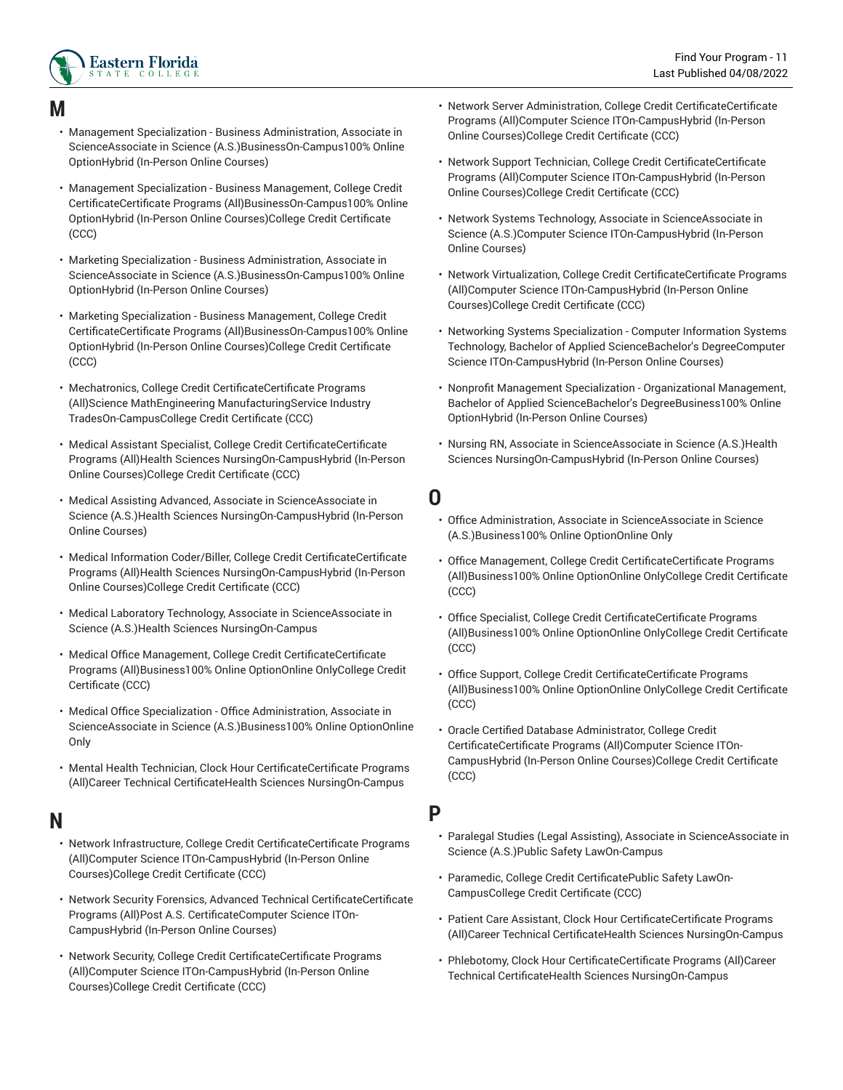

#### <span id="page-10-0"></span>**M**

- Management Specialization Business Administration, Associate in ScienceAssociate in Science (A.S.)BusinessOn-Campus100% Online OptionHybrid (In-Person Online Courses)
- Management Specialization Business Management, College Credit CertificateCertificate Programs (All)BusinessOn-Campus100% Online OptionHybrid (In-Person Online Courses)College Credit Certificate (CCC)
- Marketing Specialization Business Administration, Associate in ScienceAssociate in Science (A.S.)BusinessOn-Campus100% Online OptionHybrid (In-Person Online Courses)
- Marketing Specialization Business Management, College Credit CertificateCertificate Programs (All)BusinessOn-Campus100% Online OptionHybrid (In-Person Online Courses)College Credit Certificate (CCC)
- Mechatronics, College Credit CertificateCertificate Programs (All)Science MathEngineering ManufacturingService Industry TradesOn-CampusCollege Credit Certificate (CCC)
- Medical Assistant Specialist, College Credit CertificateCertificate Programs (All)Health Sciences NursingOn-CampusHybrid (In-Person Online Courses)College Credit Certificate (CCC)
- Medical Assisting Advanced, Associate in ScienceAssociate in Science (A.S.)Health Sciences NursingOn-CampusHybrid (In-Person Online Courses)
- Medical Information Coder/Biller, College Credit CertificateCertificate Programs (All)Health Sciences NursingOn-CampusHybrid (In-Person Online Courses)College Credit Certificate (CCC)
- Medical Laboratory Technology, Associate in ScienceAssociate in Science (A.S.)Health Sciences NursingOn-Campus
- Medical Office Management, College Credit CertificateCertificate Programs (All)Business100% Online OptionOnline OnlyCollege Credit Certificate (CCC)
- Medical Office Specialization Office Administration, Associate in ScienceAssociate in Science (A.S.)Business100% Online OptionOnline Only
- Mental Health Technician, Clock Hour CertificateCertificate Programs (All)Career Technical CertificateHealth Sciences NursingOn-Campus

#### <span id="page-10-1"></span>**N**

- Network Infrastructure, College Credit CertificateCertificate Programs (All)Computer Science ITOn-CampusHybrid (In-Person Online Courses)College Credit Certificate (CCC)
- Network Security Forensics, Advanced Technical CertificateCertificate Programs (All)Post A.S. CertificateComputer Science ITOn-CampusHybrid (In-Person Online Courses)
- Network Security, College Credit CertificateCertificate Programs (All)Computer Science ITOn-CampusHybrid (In-Person Online Courses)College Credit Certificate (CCC)
- Network Server Administration, College Credit CertificateCertificate Programs (All)Computer Science ITOn-CampusHybrid (In-Person Online Courses)College Credit Certificate (CCC)
- Network Support Technician, College Credit CertificateCertificate Programs (All)Computer Science ITOn-CampusHybrid (In-Person Online Courses)College Credit Certificate (CCC)
- Network Systems Technology, Associate in ScienceAssociate in Science (A.S.)Computer Science ITOn-CampusHybrid (In-Person Online Courses)
- Network Virtualization, College Credit CertificateCertificate Programs (All)Computer Science ITOn-CampusHybrid (In-Person Online Courses)College Credit Certificate (CCC)
- Networking Systems Specialization Computer Information Systems Technology, Bachelor of Applied ScienceBachelor's DegreeComputer Science ITOn-CampusHybrid (In-Person Online Courses)
- Nonprofit Management Specialization Organizational Management, Bachelor of Applied ScienceBachelor's DegreeBusiness100% Online OptionHybrid (In-Person Online Courses)
- Nursing RN, Associate in ScienceAssociate in Science (A.S.)Health Sciences NursingOn-CampusHybrid (In-Person Online Courses)
- <span id="page-10-2"></span>**O**
	- Office Administration, Associate in ScienceAssociate in Science (A.S.)Business100% Online OptionOnline Only
	- Office Management, College Credit CertificateCertificate Programs (All)Business100% Online OptionOnline OnlyCollege Credit Certificate (CCC)
	- Office Specialist, College Credit CertificateCertificate Programs (All)Business100% Online OptionOnline OnlyCollege Credit Certificate (CCC)
	- Office Support, College Credit CertificateCertificate Programs (All)Business100% Online OptionOnline OnlyCollege Credit Certificate (CCC)
	- Oracle Certified Database Administrator, College Credit CertificateCertificate Programs (All)Computer Science ITOn-CampusHybrid (In-Person Online Courses)College Credit Certificate (CCC)

#### <span id="page-10-3"></span>**P**

- Paralegal Studies (Legal Assisting), Associate in ScienceAssociate in Science (A.S.)Public Safety LawOn-Campus
- Paramedic, College Credit CertificatePublic Safety LawOn-CampusCollege Credit Certificate (CCC)
- Patient Care Assistant, Clock Hour CertificateCertificate Programs (All)Career Technical CertificateHealth Sciences NursingOn-Campus
- Phlebotomy, Clock Hour CertificateCertificate Programs (All)Career Technical CertificateHealth Sciences NursingOn-Campus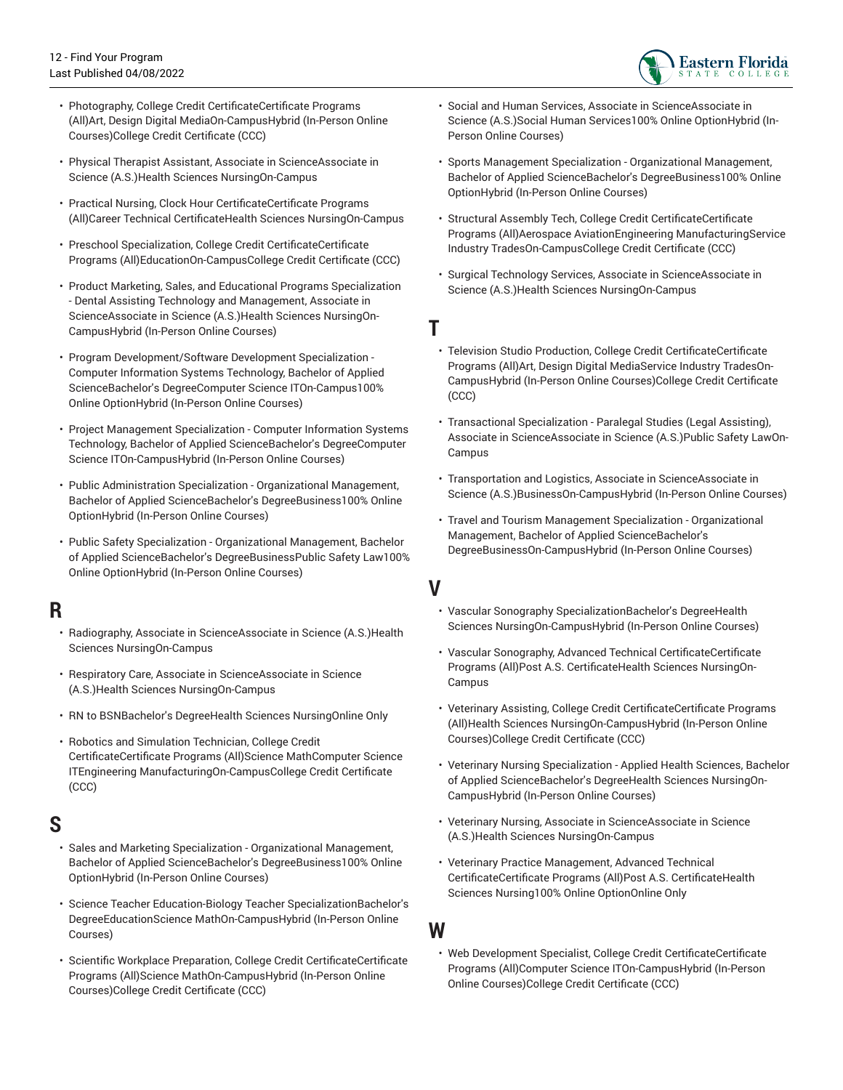

- Photography, College Credit CertificateCertificate Programs (All)Art, Design Digital MediaOn-CampusHybrid (In-Person Online Courses)College Credit Certificate (CCC)
- Physical Therapist Assistant, Associate in ScienceAssociate in Science (A.S.)Health Sciences NursingOn-Campus
- Practical Nursing, Clock Hour CertificateCertificate Programs (All)Career Technical CertificateHealth Sciences NursingOn-Campus
- Preschool Specialization, College Credit CertificateCertificate Programs (All)EducationOn-CampusCollege Credit Certificate (CCC)
- Product Marketing, Sales, and Educational Programs Specialization - Dental Assisting Technology and Management, Associate in ScienceAssociate in Science (A.S.)Health Sciences NursingOn-CampusHybrid (In-Person Online Courses)
- Program Development/Software Development Specialization Computer Information Systems Technology, Bachelor of Applied ScienceBachelor's DegreeComputer Science ITOn-Campus100% Online OptionHybrid (In-Person Online Courses)
- Project Management Specialization Computer Information Systems Technology, Bachelor of Applied ScienceBachelor's DegreeComputer Science ITOn-CampusHybrid (In-Person Online Courses)
- Public Administration Specialization Organizational Management, Bachelor of Applied ScienceBachelor's DegreeBusiness100% Online OptionHybrid (In-Person Online Courses)
- Public Safety Specialization Organizational Management, Bachelor of Applied ScienceBachelor's DegreeBusinessPublic Safety Law100% Online OptionHybrid (In-Person Online Courses)

#### <span id="page-11-0"></span>**R**

- Radiography, Associate in ScienceAssociate in Science (A.S.)Health Sciences NursingOn-Campus
- Respiratory Care, Associate in ScienceAssociate in Science (A.S.)Health Sciences NursingOn-Campus
- RN to BSNBachelor's DegreeHealth Sciences NursingOnline Only
- Robotics and Simulation Technician, College Credit CertificateCertificate Programs (All)Science MathComputer Science ITEngineering ManufacturingOn-CampusCollege Credit Certificate (CCC)

#### <span id="page-11-1"></span>**S**

- Sales and Marketing Specialization Organizational Management, Bachelor of Applied ScienceBachelor's DegreeBusiness100% Online OptionHybrid (In-Person Online Courses)
- Science Teacher Education-Biology Teacher SpecializationBachelor's DegreeEducationScience MathOn-CampusHybrid (In-Person Online Courses)
- Scientific Workplace Preparation, College Credit CertificateCertificate Programs (All)Science MathOn-CampusHybrid (In-Person Online Courses)College Credit Certificate (CCC)
- Social and Human Services, Associate in ScienceAssociate in Science (A.S.)Social Human Services100% Online OptionHybrid (In-Person Online Courses)
- Sports Management Specialization Organizational Management, Bachelor of Applied ScienceBachelor's DegreeBusiness100% Online OptionHybrid (In-Person Online Courses)
- Structural Assembly Tech, College Credit CertificateCertificate Programs (All)Aerospace AviationEngineering ManufacturingService Industry TradesOn-CampusCollege Credit Certificate (CCC)
- Surgical Technology Services, Associate in ScienceAssociate in Science (A.S.)Health Sciences NursingOn-Campus
- <span id="page-11-2"></span>**T**
	- Television Studio Production, College Credit CertificateCertificate Programs (All)Art, Design Digital MediaService Industry TradesOn-CampusHybrid (In-Person Online Courses)College Credit Certificate (CCC)
	- Transactional Specialization Paralegal Studies (Legal Assisting), Associate in ScienceAssociate in Science (A.S.)Public Safety LawOn-Campus
	- Transportation and Logistics, Associate in ScienceAssociate in Science (A.S.)BusinessOn-CampusHybrid (In-Person Online Courses)
	- Travel and Tourism Management Specialization Organizational Management, Bachelor of Applied ScienceBachelor's DegreeBusinessOn-CampusHybrid (In-Person Online Courses)

<span id="page-11-3"></span>**V**

- Vascular Sonography SpecializationBachelor's DegreeHealth Sciences NursingOn-CampusHybrid (In-Person Online Courses)
- Vascular Sonography, Advanced Technical CertificateCertificate Programs (All)Post A.S. CertificateHealth Sciences NursingOn-Campus
- Veterinary Assisting, College Credit CertificateCertificate Programs (All)Health Sciences NursingOn-CampusHybrid (In-Person Online Courses)College Credit Certificate (CCC)
- Veterinary Nursing Specialization Applied Health Sciences, Bachelor of Applied ScienceBachelor's DegreeHealth Sciences NursingOn-CampusHybrid (In-Person Online Courses)
- Veterinary Nursing, Associate in ScienceAssociate in Science (A.S.)Health Sciences NursingOn-Campus
- Veterinary Practice Management, Advanced Technical CertificateCertificate Programs (All)Post A.S. CertificateHealth Sciences Nursing100% Online OptionOnline Only

• Web Development Specialist, College Credit CertificateCertificate Programs (All)Computer Science ITOn-CampusHybrid (In-Person Online Courses)College Credit Certificate (CCC)

<span id="page-11-4"></span>**W**